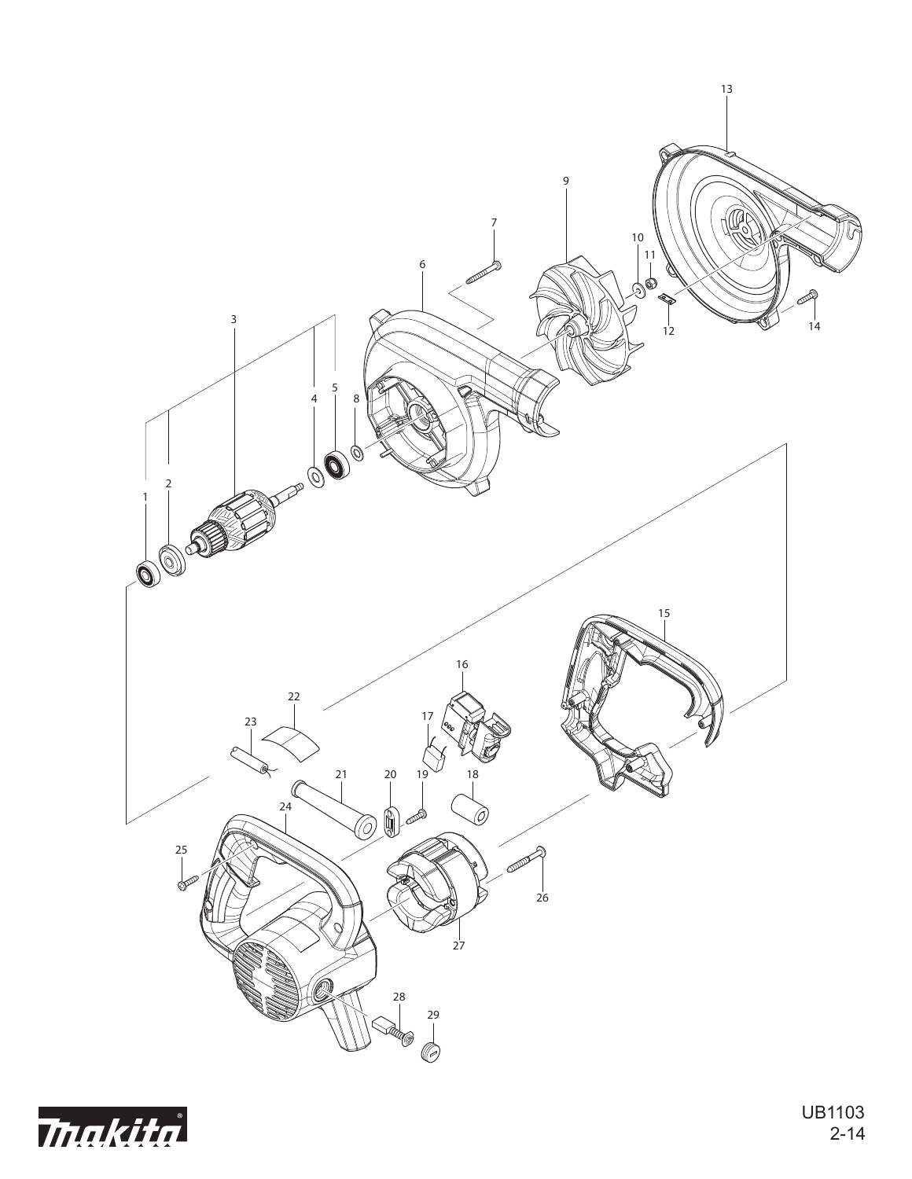